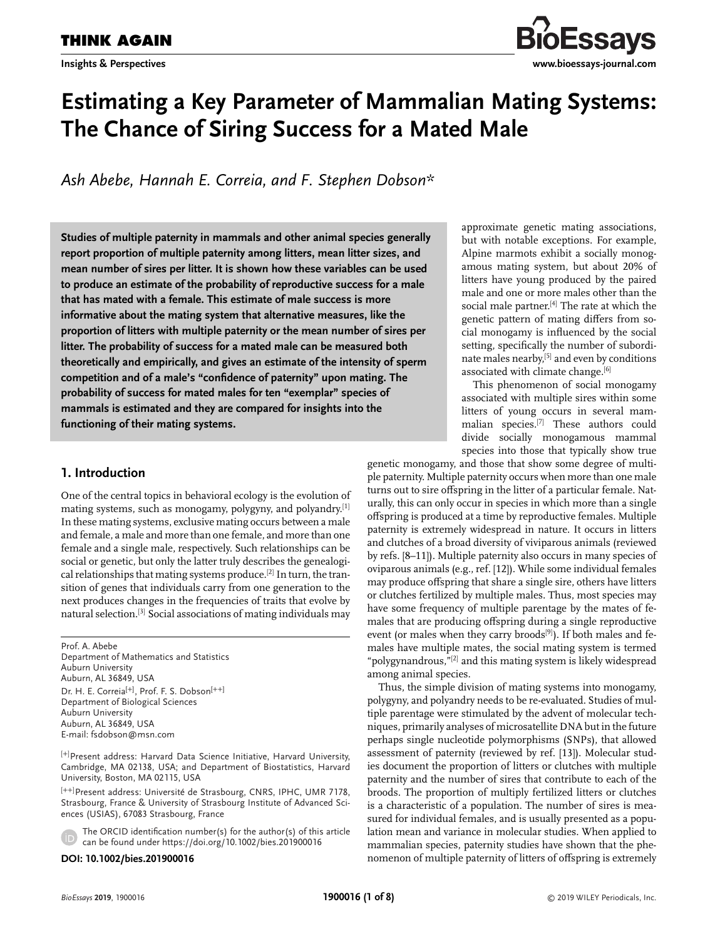

# **Estimating a Key Parameter of Mammalian Mating Systems: The Chance of Siring Success for a Mated Male**

*Ash Abebe, Hannah E. Correia, and F. Stephen Dobson\**

**Studies of multiple paternity in mammals and other animal species generally report proportion of multiple paternity among litters, mean litter sizes, and mean number of sires per litter. It is shown how these variables can be used to produce an estimate of the probability of reproductive success for a male that has mated with a female. This estimate of male success is more informative about the mating system that alternative measures, like the proportion of litters with multiple paternity or the mean number of sires per litter. The probability of success for a mated male can be measured both theoretically and empirically, and gives an estimate of the intensity of sperm competition and of a male's "confidence of paternity" upon mating. The probability of success for mated males for ten "exemplar" species of mammals is estimated and they are compared for insights into the functioning of their mating systems.**

# **1. Introduction**

One of the central topics in behavioral ecology is the evolution of mating systems, such as monogamy, polygyny, and polyandry.[1] In these mating systems, exclusive mating occurs between a male and female, a male and more than one female, and more than one female and a single male, respectively. Such relationships can be social or genetic, but only the latter truly describes the genealogical relationships that mating systems produce.<sup>[2]</sup> In turn, the transition of genes that individuals carry from one generation to the next produces changes in the frequencies of traits that evolve by natural selection.[3] Social associations of mating individuals may

Prof. A. Abebe Department of Mathematics and Statistics Auburn University Auburn, AL 36849, USA Dr. H. E. Correia<sup>[+]</sup>, Prof. F. S. Dobson<sup>[++]</sup> Department of Biological Sciences Auburn University Auburn, AL 36849, USA E-mail: [fsdobson@msn.com](mailto:fsdobson@msn.com)

[+] Present address: Harvard Data Science Initiative, Harvard University, Cambridge, MA 02138, USA; and Department of Biostatistics, Harvard University, Boston, MA 02115, USA

[++] Present address: Université de Strasbourg, CNRS, IPHC, UMR 7178, Strasbourg, France & University of Strasbourg Institute of Advanced Sciences (USIAS), 67083 Strasbourg, France

The ORCID identification number(s) for the author(s) of this article can be found under<https://doi.org/10.1002/bies.201900016>

#### **DOI: 10.1002/bies.201900016**

approximate genetic mating associations, but with notable exceptions. For example, Alpine marmots exhibit a socially monogamous mating system, but about 20% of litters have young produced by the paired male and one or more males other than the social male partner.<sup>[4]</sup> The rate at which the genetic pattern of mating differs from social monogamy is influenced by the social setting, specifically the number of subordinate males nearby,<sup>[5]</sup> and even by conditions associated with climate change.<sup>[6]</sup>

This phenomenon of social monogamy associated with multiple sires within some litters of young occurs in several mammalian species.[7] These authors could divide socially monogamous mammal species into those that typically show true

genetic monogamy, and those that show some degree of multiple paternity. Multiple paternity occurs when more than one male turns out to sire offspring in the litter of a particular female. Naturally, this can only occur in species in which more than a single offspring is produced at a time by reproductive females. Multiple paternity is extremely widespread in nature. It occurs in litters and clutches of a broad diversity of viviparous animals (reviewed by refs. [8–11]). Multiple paternity also occurs in many species of oviparous animals (e.g., ref. [12]). While some individual females may produce offspring that share a single sire, others have litters or clutches fertilized by multiple males. Thus, most species may have some frequency of multiple parentage by the mates of females that are producing offspring during a single reproductive event (or males when they carry broods<sup>[9]</sup>). If both males and females have multiple mates, the social mating system is termed "polygynandrous,"[2] and this mating system is likely widespread among animal species.

Thus, the simple division of mating systems into monogamy, polygyny, and polyandry needs to be re-evaluated. Studies of multiple parentage were stimulated by the advent of molecular techniques, primarily analyses of microsatellite DNA but in the future perhaps single nucleotide polymorphisms (SNPs), that allowed assessment of paternity (reviewed by ref. [13]). Molecular studies document the proportion of litters or clutches with multiple paternity and the number of sires that contribute to each of the broods. The proportion of multiply fertilized litters or clutches is a characteristic of a population. The number of sires is measured for individual females, and is usually presented as a population mean and variance in molecular studies. When applied to mammalian species, paternity studies have shown that the phenomenon of multiple paternity of litters of offspring is extremely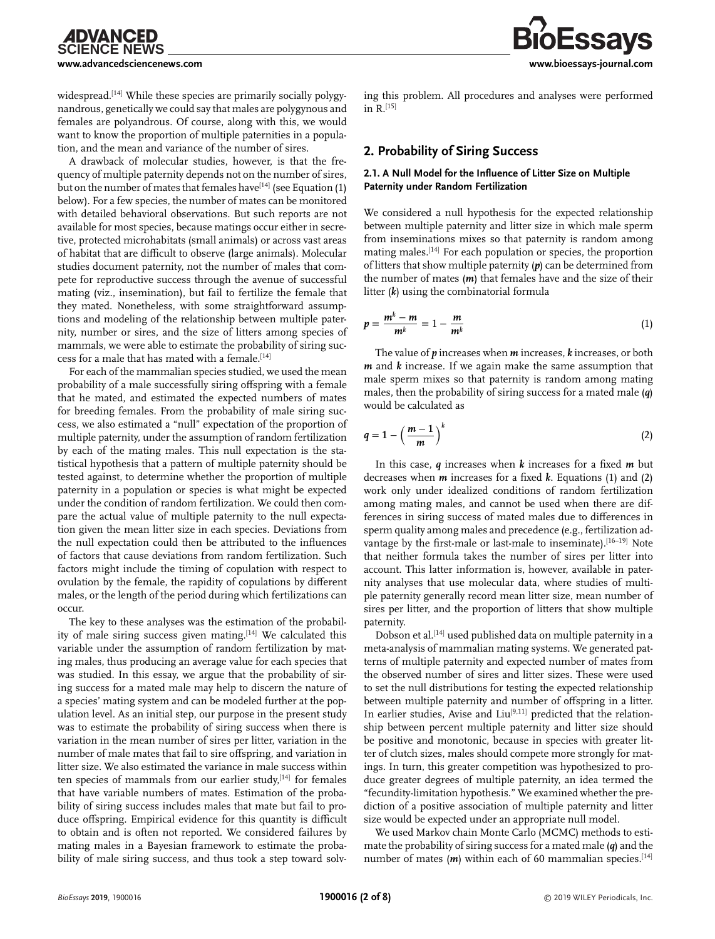widespread.<sup>[14]</sup> While these species are primarily socially polygynandrous, genetically we could say that males are polygynous and females are polyandrous. Of course, along with this, we would want to know the proportion of multiple paternities in a population, and the mean and variance of the number of sires.

A drawback of molecular studies, however, is that the frequency of multiple paternity depends not on the number of sires, but on the number of mates that females have  $[14]$  (see Equation (1) below). For a few species, the number of mates can be monitored with detailed behavioral observations. But such reports are not available for most species, because matings occur either in secretive, protected microhabitats (small animals) or across vast areas of habitat that are difficult to observe (large animals). Molecular studies document paternity, not the number of males that compete for reproductive success through the avenue of successful mating (viz., insemination), but fail to fertilize the female that they mated. Nonetheless, with some straightforward assumptions and modeling of the relationship between multiple paternity, number or sires, and the size of litters among species of mammals, we were able to estimate the probability of siring success for a male that has mated with a female.[14]

For each of the mammalian species studied, we used the mean probability of a male successfully siring offspring with a female that he mated, and estimated the expected numbers of mates for breeding females. From the probability of male siring success, we also estimated a "null" expectation of the proportion of multiple paternity, under the assumption of random fertilization by each of the mating males. This null expectation is the statistical hypothesis that a pattern of multiple paternity should be tested against, to determine whether the proportion of multiple paternity in a population or species is what might be expected under the condition of random fertilization. We could then compare the actual value of multiple paternity to the null expectation given the mean litter size in each species. Deviations from the null expectation could then be attributed to the influences of factors that cause deviations from random fertilization. Such factors might include the timing of copulation with respect to ovulation by the female, the rapidity of copulations by different males, or the length of the period during which fertilizations can occur.

The key to these analyses was the estimation of the probability of male siring success given mating.[14] We calculated this variable under the assumption of random fertilization by mating males, thus producing an average value for each species that was studied. In this essay, we argue that the probability of siring success for a mated male may help to discern the nature of a species' mating system and can be modeled further at the population level. As an initial step, our purpose in the present study was to estimate the probability of siring success when there is variation in the mean number of sires per litter, variation in the number of male mates that fail to sire offspring, and variation in litter size. We also estimated the variance in male success within ten species of mammals from our earlier study, $[14]$  for females that have variable numbers of mates. Estimation of the probability of siring success includes males that mate but fail to produce offspring. Empirical evidence for this quantity is difficult to obtain and is often not reported. We considered failures by mating males in a Bayesian framework to estimate the probability of male siring success, and thus took a step toward solving this problem. All procedures and analyses were performed  $in$   $R$ .<sup>[15]</sup>

#### **2. Probability of Siring Success**

#### **2.1. A Null Model for the Influence of Litter Size on Multiple Paternity under Random Fertilization**

We considered a null hypothesis for the expected relationship between multiple paternity and litter size in which male sperm from inseminations mixes so that paternity is random among mating males.[14] For each population or species, the proportion of litters that show multiple paternity (*p*) can be determined from the number of mates (*m*) that females have and the size of their litter (*k*) using the combinatorial formula

$$
p = \frac{m^k - m}{m^k} = 1 - \frac{m}{m^k} \tag{1}
$$

The value of *p* increases when *m* increases, *k* increases, or both *m* and *k* increase. If we again make the same assumption that male sperm mixes so that paternity is random among mating males, then the probability of siring success for a mated male (*q*) would be calculated as

$$
q = 1 - \left(\frac{m-1}{m}\right)^k \tag{2}
$$

In this case, *q* increases when *k* increases for a fixed *m* but decreases when *m* increases for a fixed *k*. Equations (1) and (2) work only under idealized conditions of random fertilization among mating males, and cannot be used when there are differences in siring success of mated males due to differences in sperm quality among males and precedence (e.g., fertilization advantage by the first-male or last-male to inseminate).[16–19] Note that neither formula takes the number of sires per litter into account. This latter information is, however, available in paternity analyses that use molecular data, where studies of multiple paternity generally record mean litter size, mean number of sires per litter, and the proportion of litters that show multiple paternity.

Dobson et al.[14] used published data on multiple paternity in a meta-analysis of mammalian mating systems. We generated patterns of multiple paternity and expected number of mates from the observed number of sires and litter sizes. These were used to set the null distributions for testing the expected relationship between multiple paternity and number of offspring in a litter. In earlier studies, Avise and  $Liu^{[9,11]}$  predicted that the relationship between percent multiple paternity and litter size should be positive and monotonic, because in species with greater litter of clutch sizes, males should compete more strongly for matings. In turn, this greater competition was hypothesized to produce greater degrees of multiple paternity, an idea termed the "fecundity-limitation hypothesis." We examined whether the prediction of a positive association of multiple paternity and litter size would be expected under an appropriate null model.

We used Markov chain Monte Carlo (MCMC) methods to estimate the probability of siring success for a mated male (*q*) and the number of mates  $(m)$  within each of 60 mammalian species.<sup>[14]</sup>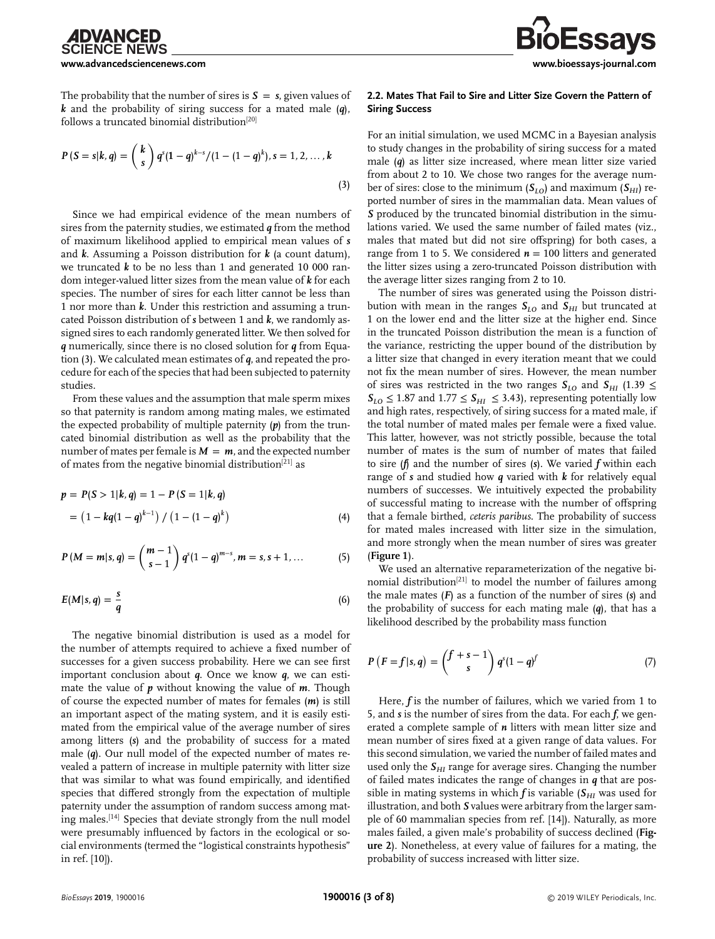**Essavs** 

The probability that the number of sires is  $S = s$ , given values of *k* and the probability of siring success for a mated male (*q*), follows a truncated binomial distribution<sup>[20]</sup>

$$
P(S = s|k, q) = {k \choose s} q^{s} (1-q)^{k-s} / (1-(1-q)^{k}), s = 1, 2, ..., k
$$
\n(3)

Since we had empirical evidence of the mean numbers of sires from the paternity studies, we estimated *q* from the method of maximum likelihood applied to empirical mean values of *s* and *k*. Assuming a Poisson distribution for *k* (a count datum), we truncated *k* to be no less than 1 and generated 10 000 random integer-valued litter sizes from the mean value of *k* for each species. The number of sires for each litter cannot be less than 1 nor more than *k*. Under this restriction and assuming a truncated Poisson distribution of *s* between 1 and *k*, we randomly assigned sires to each randomly generated litter. We then solved for *q* numerically, since there is no closed solution for *q* from Equation (3). We calculated mean estimates of *q*, and repeated the procedure for each of the species that had been subjected to paternity studies.

From these values and the assumption that male sperm mixes so that paternity is random among mating males, we estimated the expected probability of multiple paternity (*p*) from the truncated binomial distribution as well as the probability that the number of mates per female is  $M = m$ , and the expected number of mates from the negative binomial distribution[21] as

$$
p = P(S > 1|k, q) = 1 - P(S = 1|k, q)
$$
  
=  $(1 - kq(1 - q)^{k-1}) / (1 - (1 - q)^{k})$  (4)

$$
P(M = m|s, q) = {m-1 \choose s-1} q^{s} (1-q)^{m-s}, m = s, s+1, ... \qquad (5)
$$

$$
E(M|s,q) = \frac{s}{q} \tag{6}
$$

The negative binomial distribution is used as a model for the number of attempts required to achieve a fixed number of successes for a given success probability. Here we can see first important conclusion about *q*. Once we know *q*, we can estimate the value of *p* without knowing the value of *m*. Though of course the expected number of mates for females (*m*) is still an important aspect of the mating system, and it is easily estimated from the empirical value of the average number of sires among litters (*s*) and the probability of success for a mated male (*q*). Our null model of the expected number of mates revealed a pattern of increase in multiple paternity with litter size that was similar to what was found empirically, and identified species that differed strongly from the expectation of multiple paternity under the assumption of random success among mating males.[14] Species that deviate strongly from the null model were presumably influenced by factors in the ecological or social environments (termed the "logistical constraints hypothesis" in ref. [10]).

#### **2.2. Mates That Fail to Sire and Litter Size Govern the Pattern of Siring Success**

For an initial simulation, we used MCMC in a Bayesian analysis to study changes in the probability of siring success for a mated male (*q*) as litter size increased, where mean litter size varied from about 2 to 10. We chose two ranges for the average number of sires: close to the minimum  $(S_{I_O})$  and maximum  $(S_{HI})$  reported number of sires in the mammalian data. Mean values of *S* produced by the truncated binomial distribution in the simulations varied. We used the same number of failed mates (viz., males that mated but did not sire offspring) for both cases, a range from 1 to 5. We considered  $n = 100$  litters and generated the litter sizes using a zero-truncated Poisson distribution with the average litter sizes ranging from 2 to 10.

The number of sires was generated using the Poisson distribution with mean in the ranges  $S_{LO}$  and  $S_{HI}$  but truncated at 1 on the lower end and the litter size at the higher end. Since in the truncated Poisson distribution the mean is a function of the variance, restricting the upper bound of the distribution by a litter size that changed in every iteration meant that we could not fix the mean number of sires. However, the mean number of sires was restricted in the two ranges  $S_{L0}$  and  $S_{HI}$  (1.39  $\leq$  $S_{LO} \leq 1.87$  and  $1.77 \leq S_{HI} \leq 3.43$ ), representing potentially low and high rates, respectively, of siring success for a mated male, if the total number of mated males per female were a fixed value. This latter, however, was not strictly possible, because the total number of mates is the sum of number of mates that failed to sire (*f*) and the number of sires (*s*). We varied *f* within each range of *s* and studied how *q* varied with *k* for relatively equal numbers of successes. We intuitively expected the probability of successful mating to increase with the number of offspring that a female birthed, *ceteris paribus*. The probability of success for mated males increased with litter size in the simulation, and more strongly when the mean number of sires was greater (**Figure 1**).

We used an alternative reparameterization of the negative binomial distribution<sup>[21]</sup> to model the number of failures among the male mates (*F*) as a function of the number of sires (*s*) and the probability of success for each mating male (*q*), that has a likelihood described by the probability mass function

$$
P(F=f|s,q) = {f+s-1 \choose s} q^{s}(1-q)^f \tag{7}
$$

Here, *f* is the number of failures, which we varied from 1 to 5, and *s* is the number of sires from the data. For each *f*, we generated a complete sample of *n* litters with mean litter size and mean number of sires fixed at a given range of data values. For this second simulation, we varied the number of failed mates and used only the  $S_{HI}$  range for average sires. Changing the number of failed mates indicates the range of changes in *q* that are possible in mating systems in which  $f$  is variable ( $S_{HI}$  was used for illustration, and both *S* values were arbitrary from the larger sample of 60 mammalian species from ref. [14]). Naturally, as more males failed, a given male's probability of success declined (**Figure 2**). Nonetheless, at every value of failures for a mating, the probability of success increased with litter size.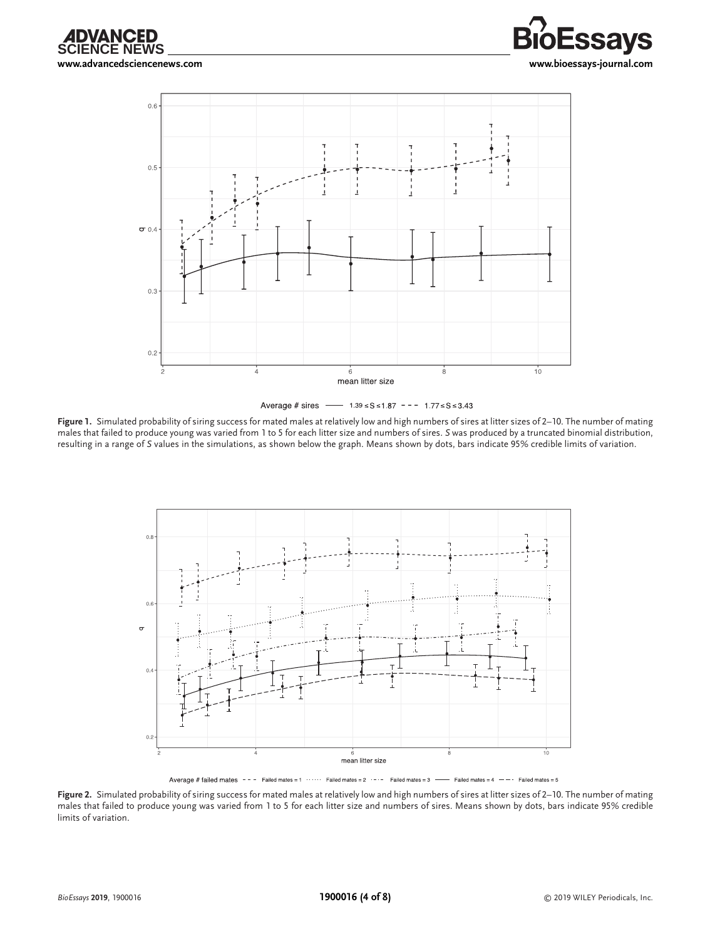







**Figure 1.** Simulated probability of siring success for mated males at relatively low and high numbers of sires at litter sizes of 2–10. The number of mating males that failed to produce young was varied from 1 to 5 for each litter size and numbers of sires. *S* was produced by a truncated binomial distribution, resulting in a range of *S* values in the simulations, as shown below the graph. Means shown by dots, bars indicate 95% credible limits of variation.



Average # failed mates --- Failed mates = 1 ..... Failed mates = 2 .-.- Failed mates = 3 -- Failed mates = 4 --- Failed mates = 5

**Figure 2.** Simulated probability of siring success for mated males at relatively low and high numbers of sires at litter sizes of 2–10. The number of mating males that failed to produce young was varied from 1 to 5 for each litter size and numbers of sires. Means shown by dots, bars indicate 95% credible limits of variation.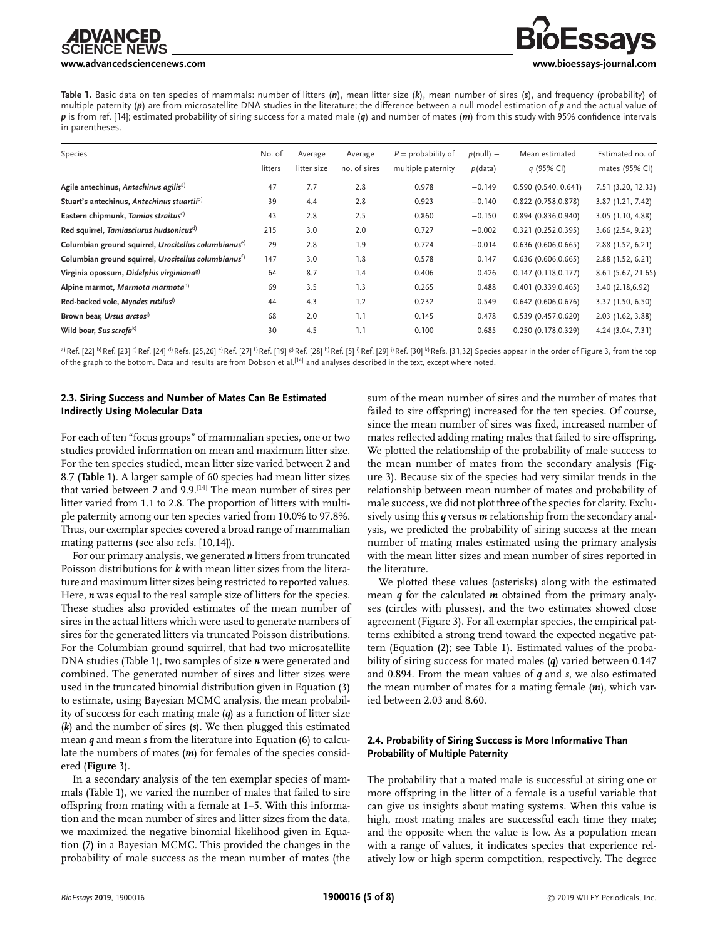#### **[www.advancedsciencenews.com](http://www.advancedsciencenews.com) [www.bioessays-journal.com](http://www.bioessays-journal.com)**

# **Essavs**

**Table 1.** Basic data on ten species of mammals: number of litters (*n*), mean litter size (*k*), mean number of sires (*s*), and frequency (probability) of multiple paternity (*p*) are from microsatellite DNA studies in the literature; the difference between a null model estimation of *p* and the actual value of *p* is from ref. [14]; estimated probability of siring success for a mated male (*q*) and number of mates (*m*) from this study with 95% confidence intervals in parentheses.

| Species                                                          | No. of<br>litters | Average<br>litter size | Average<br>no. of sires | $P =$ probability of<br>multiple paternity | $p$ (null) –<br>$p$ (data) | Mean estimated<br>q (95% CI) | Estimated no. of<br>mates (95% CI) |
|------------------------------------------------------------------|-------------------|------------------------|-------------------------|--------------------------------------------|----------------------------|------------------------------|------------------------------------|
| Agile antechinus, Antechinus agilis <sup>a)</sup>                | 47                | 7.7                    | 2.8                     | 0.978                                      | $-0.149$                   | 0.590(0.540, 0.641)          | 7.51 (3.20, 12.33)                 |
| Stuart's antechinus, Antechinus stuartiib)                       | 39                | 4.4                    | 2.8                     | 0.923                                      | $-0.140$                   | 0.822 (0.758,0.878)          | 3.87 (1.21, 7.42)                  |
| Eastern chipmunk, Tamias straitus <sup>c)</sup>                  | 43                | 2.8                    | 2.5                     | 0.860                                      | $-0.150$                   | 0.894(0.836, 0.940)          | 3.05 (1.10, 4.88)                  |
| Red squirrel, Tamiasciurus hudsonicus <sup>d)</sup>              | 215               | 3.0                    | 2.0                     | 0.727                                      | $-0.002$                   | 0.321(0.252, 0.395)          | 3.66 (2.54, 9.23)                  |
| Columbian ground squirrel, Urocitellus columbianus <sup>e)</sup> | 29                | 2.8                    | 1.9                     | 0.724                                      | $-0.014$                   | 0.636(0.606, 0.665)          | 2.88 (1.52, 6.21)                  |
| Columbian ground squirrel, Urocitellus columbianus <sup>f)</sup> | 147               | 3.0                    | 1.8                     | 0.578                                      | 0.147                      | 0.636(0.606, 0.665)          | 2.88 (1.52, 6.21)                  |
| Virginia opossum, Didelphis virginiana <sup>g)</sup>             | 64                | 8.7                    | 1.4                     | 0.406                                      | 0.426                      | 0.147(0.118, 0.177)          | 8.61 (5.67, 21.65)                 |
| Alpine marmot, Marmota marmota <sup>h)</sup>                     | 69                | 3.5                    | 1.3                     | 0.265                                      | 0.488                      | 0.401(0.339, 0.465)          | 3.40 (2.18,6.92)                   |
| Red-backed vole, Myodes rutilusi)                                | 44                | 4.3                    | 1.2                     | 0.232                                      | 0.549                      | $0.642$ (0.606,0.676)        | 3.37 (1.50, 6.50)                  |
| Brown bear, Ursus arctosi)                                       | 68                | 2.0                    | 1.1                     | 0.145                                      | 0.478                      | 0.539 (0.457,0.620)          | 2.03 (1.62, 3.88)                  |
| Wild boar, Sus scrofak)                                          | 30                | 4.5                    | 1.1                     | 0.100                                      | 0.685                      | 0.250 (0.178,0.329)          | 4.24 (3.04, 7.31)                  |

a) Ref. [22]  $\frac{b}{R}$  Ref. [23]  $\frac{d}{R}$  Ref. [24]  $\frac{d}{R}$  Ref. [25,26]  $\frac{e}{R}$  Ref. [27]  $\frac{f}{R}$  Ref. [28]  $\frac{b}{R}$  Ref. [51]  $\frac{b}{R}$  Ref. [30]  $\frac{b}{R}$  Ref. [28]  $\frac{b}{R}$  Ref. [28]  $\frac{b}{R}$  Ref. [28]  $\frac{b$ of the graph to the bottom. Data and results are from Dobson et al.[14] and analyses described in the text, except where noted.

#### **2.3. Siring Success and Number of Mates Can Be Estimated Indirectly Using Molecular Data**

For each of ten "focus groups" of mammalian species, one or two studies provided information on mean and maximum litter size. For the ten species studied, mean litter size varied between 2 and 8.7 (**Table 1**). A larger sample of 60 species had mean litter sizes that varied between 2 and 9.9.[14] The mean number of sires per litter varied from 1.1 to 2.8. The proportion of litters with multiple paternity among our ten species varied from 10.0% to 97.8%. Thus, our exemplar species covered a broad range of mammalian mating patterns (see also refs. [10,14]).

For our primary analysis, we generated *n* litters from truncated Poisson distributions for *k* with mean litter sizes from the literature and maximum litter sizes being restricted to reported values. Here, *n* was equal to the real sample size of litters for the species. These studies also provided estimates of the mean number of sires in the actual litters which were used to generate numbers of sires for the generated litters via truncated Poisson distributions. For the Columbian ground squirrel, that had two microsatellite DNA studies (Table 1), two samples of size *n* were generated and combined. The generated number of sires and litter sizes were used in the truncated binomial distribution given in Equation (3) to estimate, using Bayesian MCMC analysis, the mean probability of success for each mating male (*q*) as a function of litter size (*k*) and the number of sires (*s*). We then plugged this estimated mean *q* and mean *s* from the literature into Equation (6) to calculate the numbers of mates (*m*) for females of the species considered (**Figure** 3).

In a secondary analysis of the ten exemplar species of mammals (Table 1), we varied the number of males that failed to sire offspring from mating with a female at 1–5. With this information and the mean number of sires and litter sizes from the data, we maximized the negative binomial likelihood given in Equation (7) in a Bayesian MCMC. This provided the changes in the probability of male success as the mean number of mates (the sum of the mean number of sires and the number of mates that failed to sire offspring) increased for the ten species. Of course, since the mean number of sires was fixed, increased number of mates reflected adding mating males that failed to sire offspring. We plotted the relationship of the probability of male success to the mean number of mates from the secondary analysis (Figure 3). Because six of the species had very similar trends in the relationship between mean number of mates and probability of male success, we did not plot three of the species for clarity. Exclusively using this *q* versus *m* relationship from the secondary analysis, we predicted the probability of siring success at the mean number of mating males estimated using the primary analysis with the mean litter sizes and mean number of sires reported in the literature.

We plotted these values (asterisks) along with the estimated mean *q* for the calculated *m* obtained from the primary analyses (circles with plusses), and the two estimates showed close agreement (Figure 3). For all exemplar species, the empirical patterns exhibited a strong trend toward the expected negative pattern (Equation (2); see Table 1). Estimated values of the probability of siring success for mated males (*q*) varied between 0.147 and 0.894. From the mean values of *q* and *s*, we also estimated the mean number of mates for a mating female (*m*), which varied between 2.03 and 8.60.

#### **2.4. Probability of Siring Success is More Informative Than Probability of Multiple Paternity**

The probability that a mated male is successful at siring one or more offspring in the litter of a female is a useful variable that can give us insights about mating systems. When this value is high, most mating males are successful each time they mate; and the opposite when the value is low. As a population mean with a range of values, it indicates species that experience relatively low or high sperm competition, respectively. The degree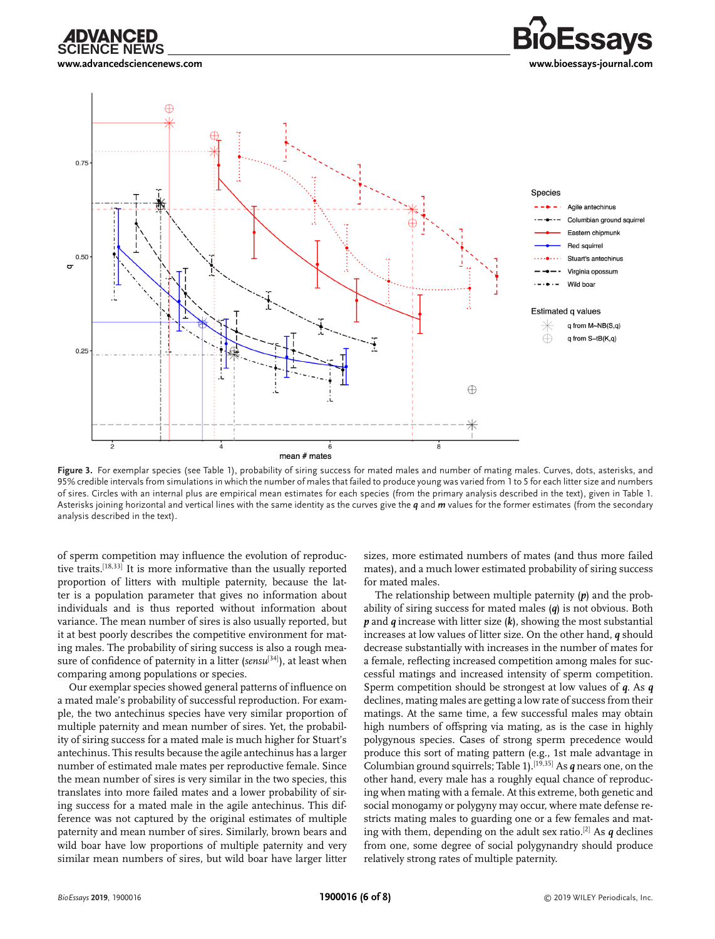





Figure 3. For exemplar species (see Table 1), probability of siring success for mated males and number of mating males. Curves, dots, asterisks, and 95% credible intervals from simulations in which the number of males that failed to produce young was varied from 1 to 5 for each litter size and numbers of sires. Circles with an internal plus are empirical mean estimates for each species (from the primary analysis described in the text), given in Table 1. Asterisks joining horizontal and vertical lines with the same identity as the curves give the *q* and *m* values for the former estimates (from the secondary analysis described in the text).

of sperm competition may influence the evolution of reproductive traits.[18,33] It is more informative than the usually reported proportion of litters with multiple paternity, because the latter is a population parameter that gives no information about individuals and is thus reported without information about variance. The mean number of sires is also usually reported, but it at best poorly describes the competitive environment for mating males. The probability of siring success is also a rough measure of confidence of paternity in a litter (*sensu*<sup>[34]</sup>), at least when comparing among populations or species.

Our exemplar species showed general patterns of influence on a mated male's probability of successful reproduction. For example, the two antechinus species have very similar proportion of multiple paternity and mean number of sires. Yet, the probability of siring success for a mated male is much higher for Stuart's antechinus. This results because the agile antechinus has a larger number of estimated male mates per reproductive female. Since the mean number of sires is very similar in the two species, this translates into more failed mates and a lower probability of siring success for a mated male in the agile antechinus. This difference was not captured by the original estimates of multiple paternity and mean number of sires. Similarly, brown bears and wild boar have low proportions of multiple paternity and very similar mean numbers of sires, but wild boar have larger litter

sizes, more estimated numbers of mates (and thus more failed mates), and a much lower estimated probability of siring success for mated males.

The relationship between multiple paternity (*p*) and the probability of siring success for mated males (*q*) is not obvious. Both *p* and *q* increase with litter size (*k*), showing the most substantial increases at low values of litter size. On the other hand, *q* should decrease substantially with increases in the number of mates for a female, reflecting increased competition among males for successful matings and increased intensity of sperm competition. Sperm competition should be strongest at low values of *q*. As *q* declines, mating males are getting a low rate of success from their matings. At the same time, a few successful males may obtain high numbers of offspring via mating, as is the case in highly polygynous species. Cases of strong sperm precedence would produce this sort of mating pattern (e.g., 1st male advantage in Columbian ground squirrels; Table 1).[19,35] As *q* nears one, on the other hand, every male has a roughly equal chance of reproducing when mating with a female. At this extreme, both genetic and social monogamy or polygyny may occur, where mate defense restricts mating males to guarding one or a few females and mating with them, depending on the adult sex ratio.<sup>[2]</sup> As  $q$  declines from one, some degree of social polygynandry should produce relatively strong rates of multiple paternity.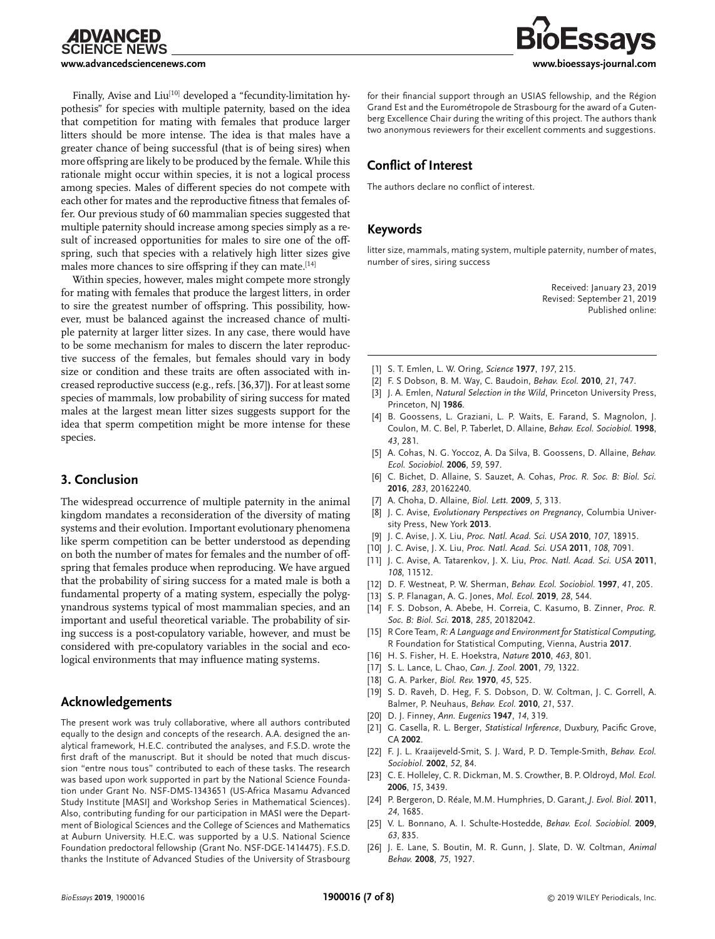

Finally, Avise and Liu<sup>[10]</sup> developed a "fecundity-limitation hypothesis" for species with multiple paternity, based on the idea that competition for mating with females that produce larger litters should be more intense. The idea is that males have a greater chance of being successful (that is of being sires) when more offspring are likely to be produced by the female. While this rationale might occur within species, it is not a logical process among species. Males of different species do not compete with each other for mates and the reproductive fitness that females offer. Our previous study of 60 mammalian species suggested that multiple paternity should increase among species simply as a result of increased opportunities for males to sire one of the offspring, such that species with a relatively high litter sizes give males more chances to sire offspring if they can mate.<sup>[14]</sup>

Within species, however, males might compete more strongly for mating with females that produce the largest litters, in order to sire the greatest number of offspring. This possibility, however, must be balanced against the increased chance of multiple paternity at larger litter sizes. In any case, there would have to be some mechanism for males to discern the later reproductive success of the females, but females should vary in body size or condition and these traits are often associated with increased reproductive success (e.g., refs. [36,37]). For at least some species of mammals, low probability of siring success for mated males at the largest mean litter sizes suggests support for the idea that sperm competition might be more intense for these species.

# **3. Conclusion**

The widespread occurrence of multiple paternity in the animal kingdom mandates a reconsideration of the diversity of mating systems and their evolution. Important evolutionary phenomena like sperm competition can be better understood as depending on both the number of mates for females and the number of offspring that females produce when reproducing. We have argued that the probability of siring success for a mated male is both a fundamental property of a mating system, especially the polygynandrous systems typical of most mammalian species, and an important and useful theoretical variable. The probability of siring success is a post-copulatory variable, however, and must be considered with pre-copulatory variables in the social and ecological environments that may influence mating systems.

# **Acknowledgements**

The present work was truly collaborative, where all authors contributed equally to the design and concepts of the research. A.A. designed the analytical framework, H.E.C. contributed the analyses, and F.S.D. wrote the first draft of the manuscript. But it should be noted that much discussion "entre nous tous" contributed to each of these tasks. The research was based upon work supported in part by the National Science Foundation under Grant No. NSF-DMS-1343651 (US-Africa Masamu Advanced Study Institute [MASI] and Workshop Series in Mathematical Sciences). Also, contributing funding for our participation in MASI were the Department of Biological Sciences and the College of Sciences and Mathematics at Auburn University. H.E.C. was supported by a U.S. National Science Foundation predoctoral fellowship (Grant No. NSF-DGE-1414475). F.S.D. thanks the Institute of Advanced Studies of the University of Strasbourg for their financial support through an USIAS fellowship, and the Région Grand Est and the Eurométropole de Strasbourg for the award of a Gutenberg Excellence Chair during the writing of this project. The authors thank two anonymous reviewers for their excellent comments and suggestions.

# **Conflict of Interest**

The authors declare no conflict of interest.

# **Keywords**

litter size, mammals, mating system, multiple paternity, number of mates, number of sires, siring success

> Received: January 23, 2019 Revised: September 21, 2019 Published online:

- [1] S. T. Emlen, L. W. Oring, *Science* **1977**, *197*, 215.
- [2] F. S Dobson, B. M. Way, C. Baudoin, *Behav. Ecol.* **2010**, *21*, 747.
- [3] J. A. Emlen, *Natural Selection in the Wild*, Princeton University Press, Princeton, NJ 1986.
- [4] B. Goossens, L. Graziani, L. P. Waits, E. Farand, S. Magnolon, J. Coulon, M. C. Bel, P. Taberlet, D. Allaine, *Behav. Ecol. Sociobiol.* **1998**, *43*, 281.
- [5] A. Cohas, N. G. Yoccoz, A. Da Silva, B. Goossens, D. Allaine, *Behav. Ecol. Sociobiol.* **2006**, *59*, 597.
- [6] C. Bichet, D. Allaine, S. Sauzet, A. Cohas, *Proc. R. Soc. B: Biol. Sci.* **2016**, *283*, 20162240.
- [7] A. Choha, D. Allaine, *Biol. Lett.* **2009**, *5*, 313.
- [8] J. C. Avise, *Evolutionary Perspectives on Pregnancy*, Columbia University Press, New York **2013**.
- [9] J. C. Avise, J. X. Liu, *Proc. Natl. Acad. Sci. USA* **2010**, *107*, 18915.
- [10] J. C. Avise, J. X. Liu, *Proc. Natl. Acad. Sci. USA* **2011**, *108*, 7091.
- [11] J. C. Avise, A. Tatarenkov, J. X. Liu, *Proc. Natl. Acad. Sci. USA* **2011**, *108*, 11512.
- [12] D. F. Westneat, P. W. Sherman, *Behav. Ecol. Sociobiol.* **1997**, *41*, 205.
- [13] S. P. Flanagan, A. G. Jones, *Mol. Ecol.* **2019**, *28*, 544.
- [14] F. S. Dobson, A. Abebe, H. Correia, C. Kasumo, B. Zinner, *Proc. R. Soc. B: Biol. Sci.* **2018**, *285*, 20182042.
- [15] R Core Team, *R: A Language and Environment for Statistical Computing,* R Foundation for Statistical Computing, Vienna, Austria **2017**.
- [16] H. S. Fisher, H. E. Hoekstra, *Nature* **2010**, *463*, 801.
- [17] S. L. Lance, L. Chao, *Can. J. Zool.* **2001**, *79*, 1322.
- [18] G. A. Parker, *Biol. Rev.* **1970**, *45*, 525.
- [19] S. D. Raveh, D. Heg, F. S. Dobson, D. W. Coltman, J. C. Gorrell, A. Balmer, P. Neuhaus, *Behav. Ecol.* **2010**, *21*, 537.
- [20] D. J. Finney, *Ann. Eugenics* **1947**, *14*, 319.
- [21] G. Casella, R. L. Berger, *Statistical Inference*, Duxbury, Pacific Grove, CA **2002**.
- [22] F. J. L. Kraaijeveld-Smit, S. J. Ward, P. D. Temple-Smith, *Behav. Ecol. Sociobiol.* **2002**, *52*, 84.
- [23] C. E. Holleley, C. R. Dickman, M. S. Crowther, B. P. Oldroyd, *Mol. Ecol.* **2006**, *15*, 3439.
- [24] P. Bergeron, D. Réale, M.M. Humphries, D. Garant, *J. Evol. Biol.* **2011**, *24*, 1685.
- [25] V. L. Bonnano, A. I. Schulte-Hostedde, *Behav. Ecol. Sociobiol.* **2009**, *63*, 835.
- [26] J. E. Lane, S. Boutin, M. R. Gunn, J. Slate, D. W. Coltman, *Animal Behav.* **2008**, *75*, 1927.